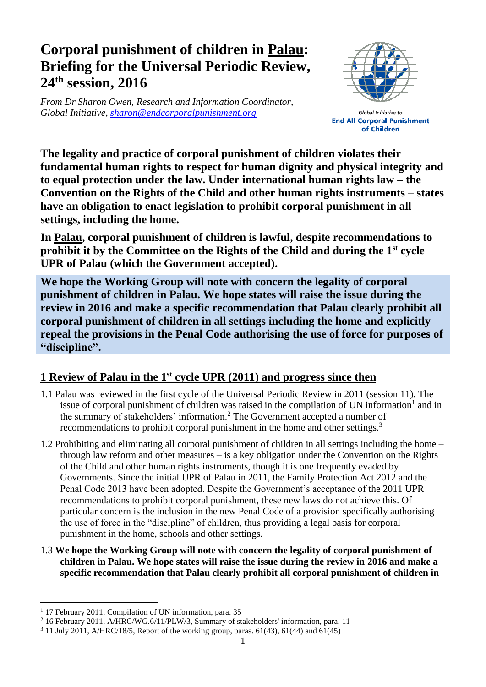## **Corporal punishment of children in Palau: Briefing for the Universal Periodic Review, 24 th session, 2016**

*From Dr Sharon Owen, Research and Information Coordinator, Global Initiative, [sharon@endcorporalpunishment.org](mailto:sharon@endcorporalpunishment.org)*



Global Initiative to **End All Corporal Punishment** of Children

**The legality and practice of corporal punishment of children violates their fundamental human rights to respect for human dignity and physical integrity and to equal protection under the law. Under international human rights law – the Convention on the Rights of the Child and other human rights instruments – states have an obligation to enact legislation to prohibit corporal punishment in all settings, including the home.**

**In Palau, corporal punishment of children is lawful, despite recommendations to prohibit it by the Committee on the Rights of the Child and during the 1st cycle UPR of Palau (which the Government accepted).**

**We hope the Working Group will note with concern the legality of corporal punishment of children in Palau. We hope states will raise the issue during the review in 2016 and make a specific recommendation that Palau clearly prohibit all corporal punishment of children in all settings including the home and explicitly repeal the provisions in the Penal Code authorising the use of force for purposes of "discipline".**

## **1 Review of Palau in the 1st cycle UPR (2011) and progress since then**

- 1.1 Palau was reviewed in the first cycle of the Universal Periodic Review in 2011 (session 11). The issue of corporal punishment of children was raised in the compilation of UN information<sup>1</sup> and in the summary of stakeholders' information.<sup>2</sup> The Government accepted a number of recommendations to prohibit corporal punishment in the home and other settings.<sup>3</sup>
- 1.2 Prohibiting and eliminating all corporal punishment of children in all settings including the home through law reform and other measures – is a key obligation under the Convention on the Rights of the Child and other human rights instruments, though it is one frequently evaded by Governments. Since the initial UPR of Palau in 2011, the Family Protection Act 2012 and the Penal Code 2013 have been adopted. Despite the Government's acceptance of the 2011 UPR recommendations to prohibit corporal punishment, these new laws do not achieve this. Of particular concern is the inclusion in the new Penal Code of a provision specifically authorising the use of force in the "discipline" of children, thus providing a legal basis for corporal punishment in the home, schools and other settings.
- 1.3 **We hope the Working Group will note with concern the legality of corporal punishment of children in Palau. We hope states will raise the issue during the review in 2016 and make a specific recommendation that Palau clearly prohibit all corporal punishment of children in**

 $\overline{a}$ <sup>1</sup> 17 February 2011, Compilation of UN information, para. 35

<sup>&</sup>lt;sup>2</sup> 16 February 2011, A/HRC/WG.6/11/PLW/3, Summary of stakeholders' information, para. 11

<sup>3</sup> 11 July 2011, A/HRC/18/5, Report of the working group, paras. 61(43), 61(44) and 61(45)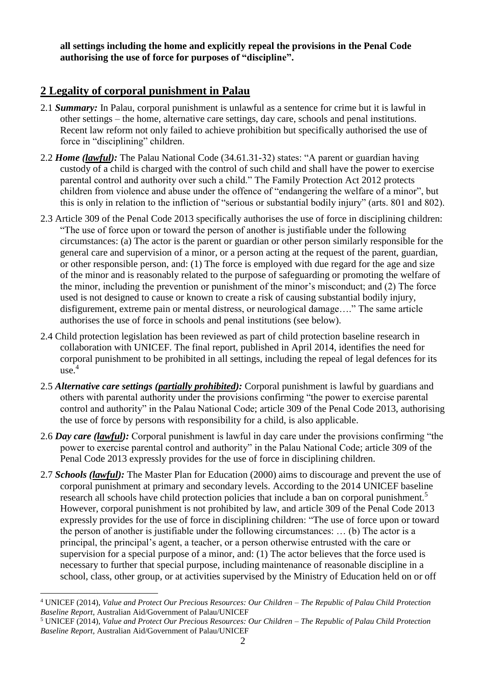**all settings including the home and explicitly repeal the provisions in the Penal Code authorising the use of force for purposes of "discipline".**

## **2 Legality of corporal punishment in Palau**

- 2.1 *Summary:* In Palau, corporal punishment is unlawful as a sentence for crime but it is lawful in other settings – the home, alternative care settings, day care, schools and penal institutions. Recent law reform not only failed to achieve prohibition but specifically authorised the use of force in "disciplining" children.
- 2.2 *Home (lawful):* The Palau National Code (34.61.31-32) states: "A parent or guardian having custody of a child is charged with the control of such child and shall have the power to exercise parental control and authority over such a child." The Family Protection Act 2012 protects children from violence and abuse under the offence of "endangering the welfare of a minor", but this is only in relation to the infliction of "serious or substantial bodily injury" (arts. 801 and 802).
- 2.3 Article 309 of the Penal Code 2013 specifically authorises the use of force in disciplining children: "The use of force upon or toward the person of another is justifiable under the following circumstances: (a) The actor is the parent or guardian or other person similarly responsible for the general care and supervision of a minor, or a person acting at the request of the parent, guardian, or other responsible person, and: (1) The force is employed with due regard for the age and size of the minor and is reasonably related to the purpose of safeguarding or promoting the welfare of the minor, including the prevention or punishment of the minor's misconduct; and (2) The force used is not designed to cause or known to create a risk of causing substantial bodily injury, disfigurement, extreme pain or mental distress, or neurological damage…." The same article authorises the use of force in schools and penal institutions (see below).
- 2.4 Child protection legislation has been reviewed as part of child protection baseline research in collaboration with UNICEF. The final report, published in April 2014, identifies the need for corporal punishment to be prohibited in all settings, including the repeal of legal defences for its  $use.<sup>4</sup>$
- 2.5 *Alternative care settings (partially prohibited):* Corporal punishment is lawful by guardians and others with parental authority under the provisions confirming "the power to exercise parental control and authority" in the Palau National Code; article 309 of the Penal Code 2013, authorising the use of force by persons with responsibility for a child, is also applicable.
- 2.6 *Day care (lawful):* Corporal punishment is lawful in day care under the provisions confirming "the power to exercise parental control and authority" in the Palau National Code; article 309 of the Penal Code 2013 expressly provides for the use of force in disciplining children.
- 2.7 *Schools (lawful):* The Master Plan for Education (2000) aims to discourage and prevent the use of corporal punishment at primary and secondary levels. According to the 2014 UNICEF baseline research all schools have child protection policies that include a ban on corporal punishment.<sup>5</sup> However, corporal punishment is not prohibited by law, and article 309 of the Penal Code 2013 expressly provides for the use of force in disciplining children: "The use of force upon or toward the person of another is justifiable under the following circumstances: … (b) The actor is a principal, the principal's agent, a teacher, or a person otherwise entrusted with the care or supervision for a special purpose of a minor, and: (1) The actor believes that the force used is necessary to further that special purpose, including maintenance of reasonable discipline in a school, class, other group, or at activities supervised by the Ministry of Education held on or off

 $\overline{a}$ 

<sup>4</sup> UNICEF (2014), *Value and Protect Our Precious Resources: Our Children – The Republic of Palau Child Protection Baseline Report*, Australian Aid/Government of Palau/UNICEF

<sup>5</sup> UNICEF (2014), *Value and Protect Our Precious Resources: Our Children – The Republic of Palau Child Protection Baseline Report*, Australian Aid/Government of Palau/UNICEF